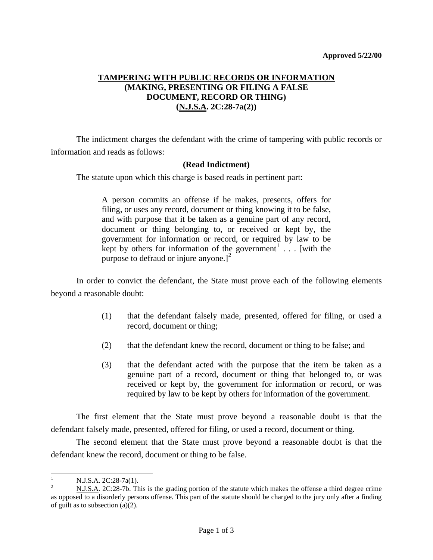## **TAMPERING WITH PUBLIC RECORDS OR INFORMATION (MAKING, PRESENTING OR FILING A FALSE DOCUMENT, RECORD OR THING) (N.J.S.A. 2C:28-7a(2))**

 The indictment charges the defendant with the crime of tampering with public records or information and reads as follows:

## **(Read Indictment)**

The statute upon which this charge is based reads in pertinent part:

A person commits an offense if he makes, presents, offers for filing, or uses any record, document or thing knowing it to be false, and with purpose that it be taken as a genuine part of any record, document or thing belonging to, or received or kept by, the government for information or record, or required by law to be kept by others for information of the government<sup>[1](#page-0-0)</sup> . . . [with the purpose to defraud or injure anyone.<sup>[[2](#page-0-1)]</sup>

 In order to convict the defendant, the State must prove each of the following elements beyond a reasonable doubt:

- (1) that the defendant falsely made, presented, offered for filing, or used a record, document or thing;
- (2) that the defendant knew the record, document or thing to be false; and
- (3) that the defendant acted with the purpose that the item be taken as a genuine part of a record, document or thing that belonged to, or was received or kept by, the government for information or record, or was required by law to be kept by others for information of the government.

 The first element that the State must prove beyond a reasonable doubt is that the defendant falsely made, presented, offered for filing, or used a record, document or thing.

 The second element that the State must prove beyond a reasonable doubt is that the defendant knew the record, document or thing to be false.

<span id="page-0-0"></span> $\frac{1}{1}$  $\frac{N. J.S.A.}{N. J.S.A.}$  2C:28-7a(1).

<span id="page-0-1"></span>N.J.S.A. 2C:28-7b. This is the grading portion of the statute which makes the offense a third degree crime as opposed to a disorderly persons offense. This part of the statute should be charged to the jury only after a finding of guilt as to subsection (a)(2).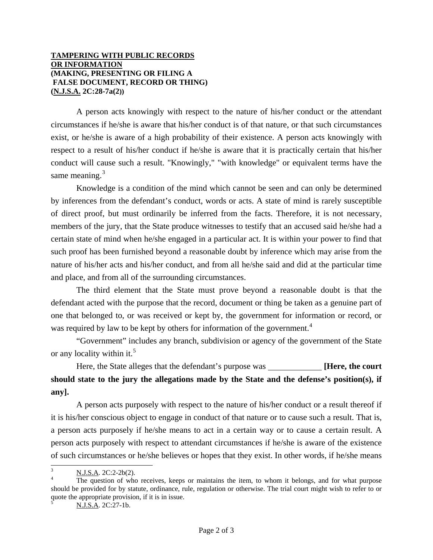## **TAMPERING WITH PUBLIC RECORDS OR INFORMATION (MAKING, PRESENTING OR FILING A FALSE DOCUMENT, RECORD OR THING) (N.J.S.A. 2C:28-7a(2))**

 A person acts knowingly with respect to the nature of his/her conduct or the attendant circumstances if he/she is aware that his/her conduct is of that nature, or that such circumstances exist, or he/she is aware of a high probability of their existence. A person acts knowingly with respect to a result of his/her conduct if he/she is aware that it is practically certain that his/her conduct will cause such a result. "Knowingly," "with knowledge" or equivalent terms have the same meaning. $3$ 

 Knowledge is a condition of the mind which cannot be seen and can only be determined by inferences from the defendant's conduct, words or acts. A state of mind is rarely susceptible of direct proof, but must ordinarily be inferred from the facts. Therefore, it is not necessary, members of the jury, that the State produce witnesses to testify that an accused said he/she had a certain state of mind when he/she engaged in a particular act. It is within your power to find that such proof has been furnished beyond a reasonable doubt by inference which may arise from the nature of his/her acts and his/her conduct, and from all he/she said and did at the particular time and place, and from all of the surrounding circumstances.

 The third element that the State must prove beyond a reasonable doubt is that the defendant acted with the purpose that the record, document or thing be taken as a genuine part of one that belonged to, or was received or kept by, the government for information or record, or was required by law to be kept by others for information of the government.<sup>[4](#page-1-1)</sup>

 "Government" includes any branch, subdivision or agency of the government of the State or any locality within it.<sup>[5](#page-1-2)</sup>

Here, the State alleges that the defendant's purpose was *[Here, the court* **should state to the jury the allegations made by the State and the defense's position(s), if any].**

 A person acts purposely with respect to the nature of his/her conduct or a result thereof if it is his/her conscious object to engage in conduct of that nature or to cause such a result. That is, a person acts purposely if he/she means to act in a certain way or to cause a certain result. A person acts purposely with respect to attendant circumstances if he/she is aware of the existence of such circumstances or he/she believes or hopes that they exist. In other words, if he/she means

<span id="page-1-2"></span>N.J.S.A. 2C:27-1b.

l 3 N.J.S.A. 2C:2-2b(2). <sup>4</sup>

<span id="page-1-1"></span><span id="page-1-0"></span>The question of who receives, keeps or maintains the item, to whom it belongs, and for what purpose should be provided for by statute, ordinance, rule, regulation or otherwise. The trial court might wish to refer to or quote the appropriate provision, if it is in issue.